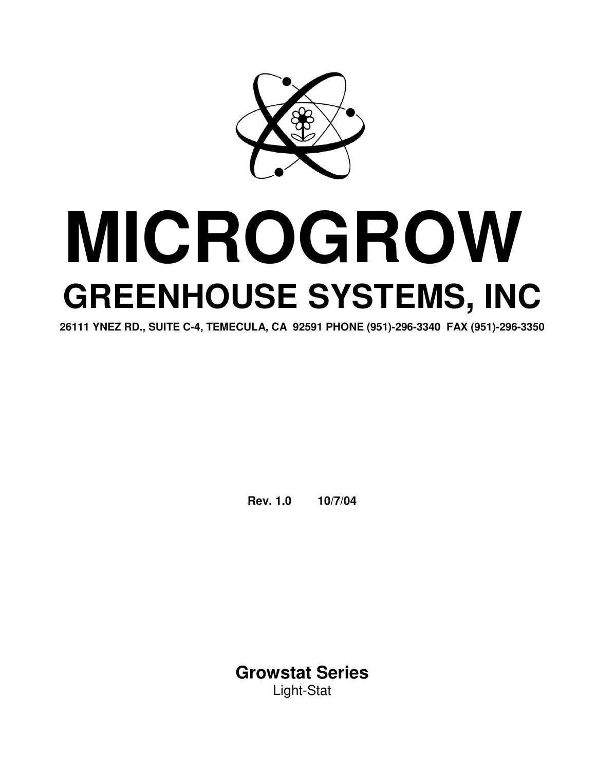

# **MICROGROW GREENHOUSE SYSTEMS, INC**

**26111 YNEZ RD., SUITE C-4, TEMECULA, CA 92591 PHONE (951)-296-3340 FAX (951)-296-3350**

**Rev. 1.0 10/7/04**

**Growstat Series** Light-Stat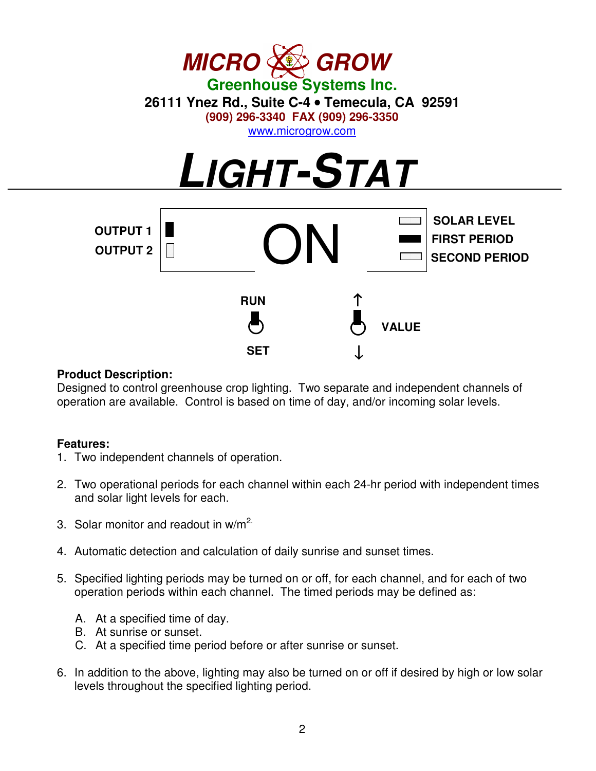

#### **Product Description:**

Designed to control greenhouse crop lighting. Two separate and independent channels of operation are available. Control is based on time of day, and/or incoming solar levels.

#### **Features:**

- 1. Two independent channels of operation.
- 2. Two operational periods for each channel within each 24-hr period with independent times and solar light levels for each.
- 3. Solar monitor and readout in w/m<sup>2.</sup>
- 4. Automatic detection and calculation of daily sunrise and sunset times.
- 5. Specified lighting periods may be turned on or off, for each channel, and for each of two operation periods within each channel. The timed periods may be defined as:
	- A. At a specified time of day.
	- B. At sunrise or sunset.
	- C. At a specified time period before or after sunrise or sunset.
- 6. In addition to the above, lighting may also be turned on or off if desired by high or low solar levels throughout the specified lighting period.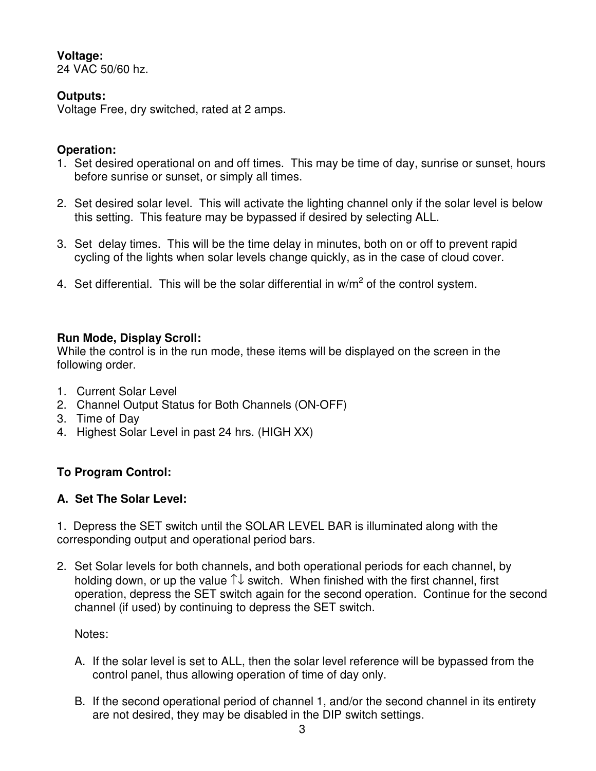#### **Voltage:**

24 VAC 50/60 hz.

### **Outputs:**

Voltage Free, dry switched, rated at 2 amps.

#### **Operation:**

- 1. Set desired operational on and off times. This may be time of day, sunrise or sunset, hours before sunrise or sunset, or simply all times.
- 2. Set desired solar level. This will activate the lighting channel only if the solar level is below this setting. This feature may be bypassed if desired by selecting ALL.
- 3. Set delay times. This will be the time delay in minutes, both on or off to prevent rapid cycling of the lights when solar levels change quickly, as in the case of cloud cover.
- 4. Set differential. This will be the solar differential in w/m<sup>2</sup> of the control system.

#### **Run Mode, Display Scroll:**

While the control is in the run mode, these items will be displayed on the screen in the following order.

- 1. Current Solar Level
- 2. Channel Output Status for Both Channels (ON-OFF)
- 3. Time of Day
- 4. Highest Solar Level in past 24 hrs. (HIGH XX)

### **To Program Control:**

### **A. Set The Solar Level:**

1. Depress the SET switch until the SOLAR LEVEL BAR is illuminated along with the corresponding output and operational period bars.

2. Set Solar levels for both channels, and both operational periods for each channel, by holding down, or up the value ↑↓ switch. When finished with the first channel, first operation, depress the SET switch again for the second operation. Continue for the second channel (if used) by continuing to depress the SET switch.

Notes:

- A. If the solar level is set to ALL, then the solar level reference will be bypassed from the control panel, thus allowing operation of time of day only.
- B. If the second operational period of channel 1, and/or the second channel in its entirety are not desired, they may be disabled in the DIP switch settings.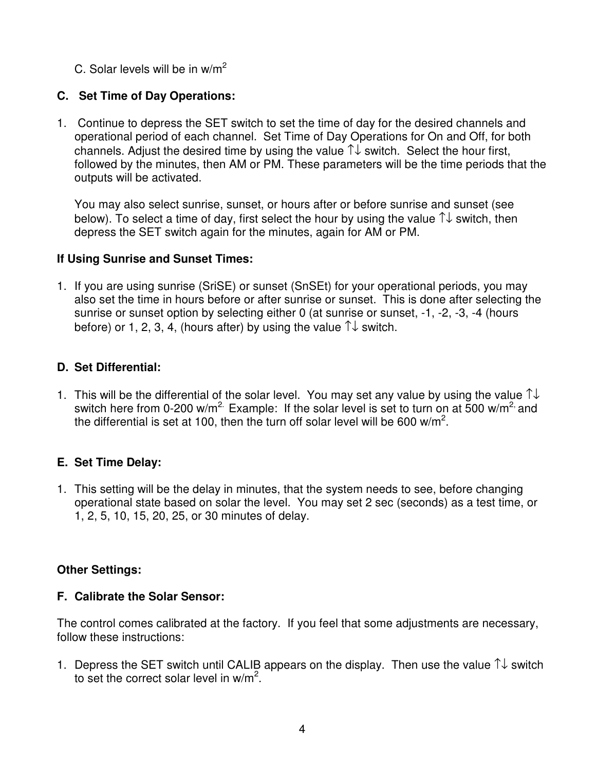C. Solar levels will be in w/m<sup>2</sup>

## **C. Set Time of Day Operations:**

1. Continue to depress the SET switch to set the time of day for the desired channels and operational period of each channel. Set Time of Day Operations for On and Off, for both channels. Adjust the desired time by using the value  $\uparrow\downarrow$  switch. Select the hour first, followed by the minutes, then AM or PM. These parameters will be the time periods that the outputs will be activated.

You may also select sunrise, sunset, or hours after or before sunrise and sunset (see below). To select a time of day, first select the hour by using the value ↑↓ switch, then depress the SET switch again for the minutes, again for AM or PM.

#### **If Using Sunrise and Sunset Times:**

1. If you are using sunrise (SriSE) or sunset (SnSEt) for your operational periods, you may also set the time in hours before or after sunrise or sunset. This is done after selecting the sunrise or sunset option by selecting either 0 (at sunrise or sunset, -1, -2, -3, -4 (hours before) or 1, 2, 3, 4, (hours after) by using the value  $\uparrow\downarrow$  switch.

### **D. Set Differential:**

1. This will be the differential of the solar level. You may set any value by using the value  $\uparrow\downarrow$ switch here from 0-200 w/m<sup>2.</sup> Example: If the solar level is set to turn on at 500 w/m<sup>2,</sup> and the differential is set at 100, then the turn off solar level will be 600 w/m<sup>2</sup>.

### **E. Set Time Delay:**

1. This setting will be the delay in minutes, that the system needs to see, before changing operational state based on solar the level. You may set 2 sec (seconds) as a test time, or 1, 2, 5, 10, 15, 20, 25, or 30 minutes of delay.

### **Other Settings:**

### **F. Calibrate the Solar Sensor:**

The control comes calibrated at the factory. If you feel that some adjustments are necessary, follow these instructions:

1. Depress the SET switch until CALIB appears on the display. Then use the value  $\uparrow\downarrow$  switch to set the correct solar level in w/m<sup>2</sup>.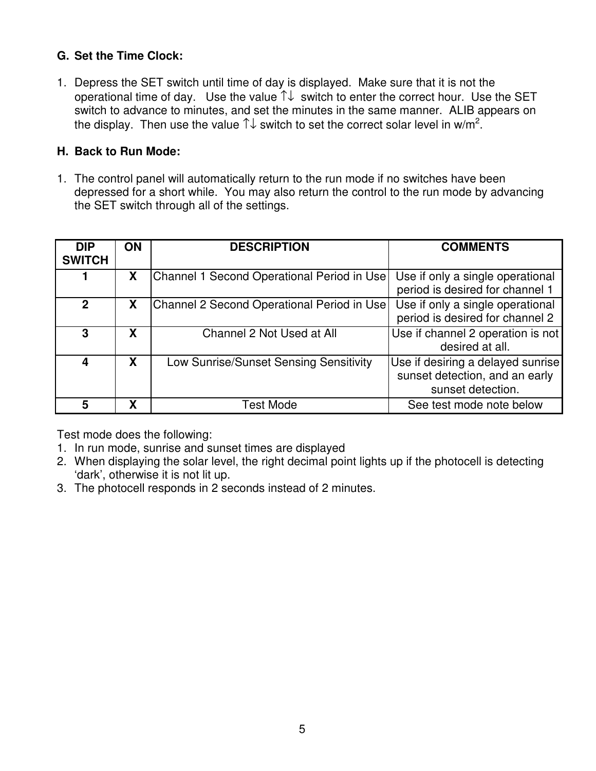### **G. Set the Time Clock:**

1. Depress the SET switch until time of day is displayed. Make sure that it is not the operational time of day. Use the value  $\uparrow\downarrow$  switch to enter the correct hour. Use the SET switch to advance to minutes, and set the minutes in the same manner. ALIB appears on the display. Then use the value  $\uparrow\downarrow$  switch to set the correct solar level in w/m<sup>2</sup>.

#### **H. Back to Run Mode:**

1. The control panel will automatically return to the run mode if no switches have been depressed for a short while. You may also return the control to the run mode by advancing the SET switch through all of the settings.

| <b>DIP</b><br><b>SWITCH</b> | <b>ON</b> | <b>DESCRIPTION</b>                            | <b>COMMENTS</b>                                                                          |
|-----------------------------|-----------|-----------------------------------------------|------------------------------------------------------------------------------------------|
|                             | X         | Channel 1 Second Operational Period in Use    | Use if only a single operational<br>period is desired for channel 1                      |
| $\mathbf 2$                 | X         | Channel 2 Second Operational Period in Use    | Use if only a single operational<br>period is desired for channel 2                      |
| 3                           | X         | Channel 2 Not Used at All                     | Use if channel 2 operation is not<br>desired at all.                                     |
| 4                           | X         | <b>Low Sunrise/Sunset Sensing Sensitivity</b> | Use if desiring a delayed sunrise<br>sunset detection, and an early<br>sunset detection. |
| 5                           | χ         | Test Mode                                     | See test mode note below                                                                 |

Test mode does the following:

- 1. In run mode, sunrise and sunset times are displayed
- 2. When displaying the solar level, the right decimal point lights up if the photocell is detecting 'dark', otherwise it is not lit up.
- 3. The photocell responds in 2 seconds instead of 2 minutes.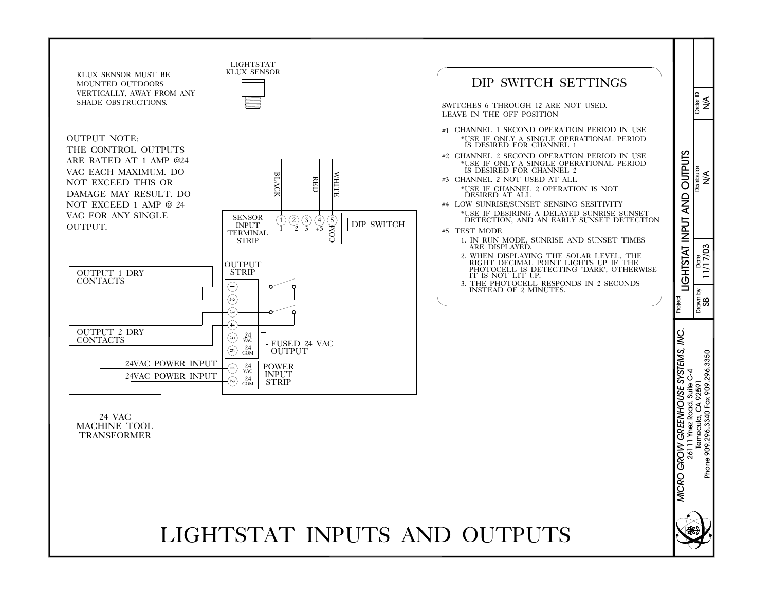